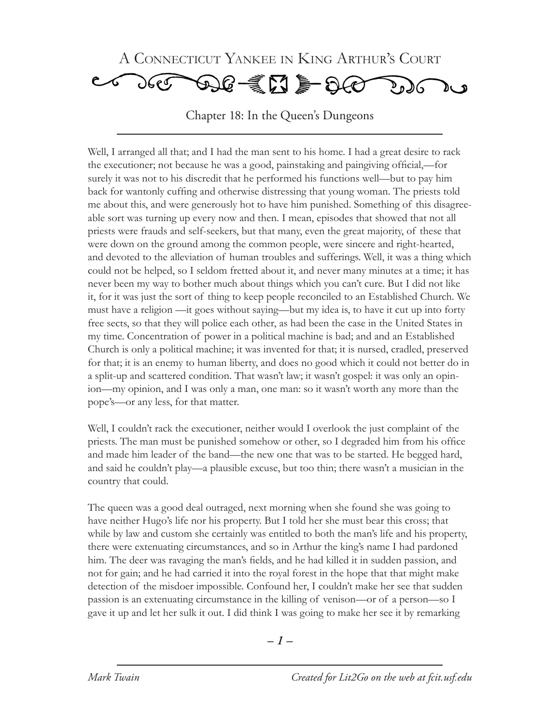

Chapter 18: In the Queen's Dungeons

Well, I arranged all that; and I had the man sent to his home. I had a great desire to rack the executioner; not because he was a good, painstaking and paingiving official,—for surely it was not to his discredit that he performed his functions well—but to pay him back for wantonly cuffing and otherwise distressing that young woman. The priests told me about this, and were generously hot to have him punished. Something of this disagreeable sort was turning up every now and then. I mean, episodes that showed that not all priests were frauds and self-seekers, but that many, even the great majority, of these that were down on the ground among the common people, were sincere and right-hearted, and devoted to the alleviation of human troubles and sufferings. Well, it was a thing which could not be helped, so I seldom fretted about it, and never many minutes at a time; it has never been my way to bother much about things which you can't cure. But I did not like it, for it was just the sort of thing to keep people reconciled to an Established Church. We must have a religion —it goes without saying—but my idea is, to have it cut up into forty free sects, so that they will police each other, as had been the case in the United States in my time. Concentration of power in a political machine is bad; and and an Established Church is only a political machine; it was invented for that; it is nursed, cradled, preserved for that; it is an enemy to human liberty, and does no good which it could not better do in a split-up and scattered condition. That wasn't law; it wasn't gospel: it was only an opinion—my opinion, and I was only a man, one man: so it wasn't worth any more than the pope's—or any less, for that matter.

Well, I couldn't rack the executioner, neither would I overlook the just complaint of the priests. The man must be punished somehow or other, so I degraded him from his office and made him leader of the band—the new one that was to be started. He begged hard, and said he couldn't play—a plausible excuse, but too thin; there wasn't a musician in the country that could.

The queen was a good deal outraged, next morning when she found she was going to have neither Hugo's life nor his property. But I told her she must bear this cross; that while by law and custom she certainly was entitled to both the man's life and his property, there were extenuating circumstances, and so in Arthur the king's name I had pardoned him. The deer was ravaging the man's fields, and he had killed it in sudden passion, and not for gain; and he had carried it into the royal forest in the hope that that might make detection of the misdoer impossible. Confound her, I couldn't make her see that sudden passion is an extenuating circumstance in the killing of venison—or of a person—so I gave it up and let her sulk it out. I did think I was going to make her see it by remarking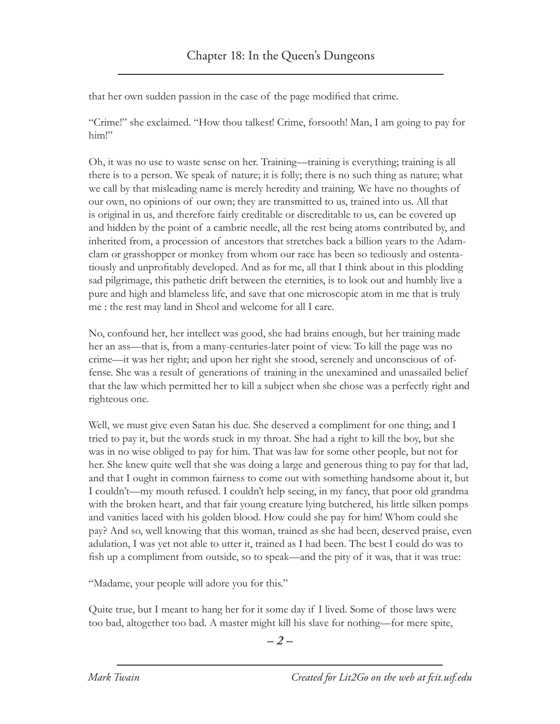that her own sudden passion in the case of the page modified that crime.

"Crime!" she exclaimed. "How thou talkest! Crime, forsooth! Man, I am going to pay for him!"

Oh, it was no use to waste sense on her. Training—training is everything; training is all there is to a person. We speak of nature; it is folly; there is no such thing as nature; what we call by that misleading name is merely heredity and training. We have no thoughts of our own, no opinions of our own; they are transmitted to us, trained into us. All that is original in us, and therefore fairly creditable or discreditable to us, can be covered up and hidden by the point of a cambric needle, all the rest being atoms contributed by, and inherited from, a procession of ancestors that stretches back a billion years to the Adamclam or grasshopper or monkey from whom our race has been so tediously and ostentatiously and unprofitably developed. And as for me, all that I think about in this plodding sad pilgrimage, this pathetic drift between the eternities, is to look out and humbly live a pure and high and blameless life, and save that one microscopic atom in me that is truly me : the rest may land in Sheol and welcome for all I care.

No, confound her, her intellect was good, she had brains enough, but her training made her an ass—that is, from a many-centuries-later point of view. To kill the page was no crime—it was her right; and upon her right she stood, serenely and unconscious of offense. She was a result of generations of training in the unexamined and unassailed belief that the law which permitted her to kill a subject when she chose was a perfectly right and righteous one.

Well, we must give even Satan his due. She deserved a compliment for one thing; and I tried to pay it, but the words stuck in my throat. She had a right to kill the boy, but she was in no wise obliged to pay for him. That was law for some other people, but not for her. She knew quite well that she was doing a large and generous thing to pay for that lad, and that I ought in common fairness to come out with something handsome about it, but I couldn't—my mouth refused. I couldn't help seeing, in my fancy, that poor old grandma with the broken heart, and that fair young creature lying butchered, his little silken pomps and vanities laced with his golden blood. How could she pay for him! Whom could she pay? And so, well knowing that this woman, trained as she had been, deserved praise, even adulation, I was yet not able to utter it, trained as I had been. The best I could do was to fish up a compliment from outside, so to speak—and the pity of it was, that it was true:

"Madame, your people will adore you for this."

Quite true, but I meant to hang her for it some day if I lived. Some of those laws were too bad, altogether too bad. A master might kill his slave for nothing—for mere spite,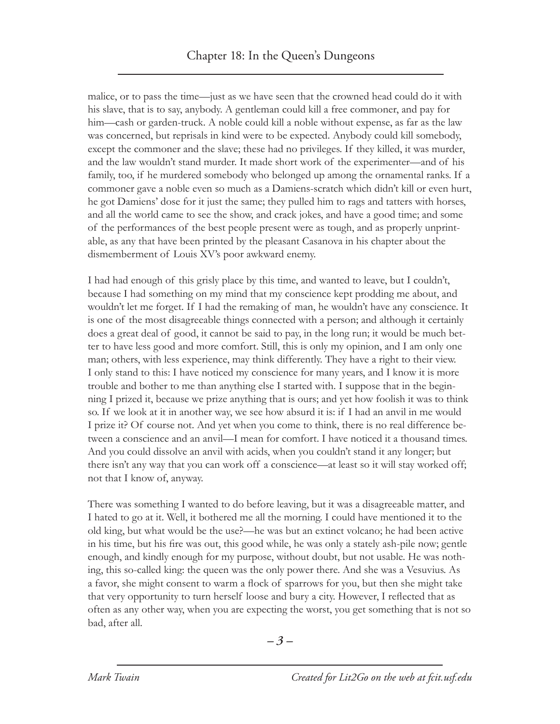malice, or to pass the time—just as we have seen that the crowned head could do it with his slave, that is to say, anybody. A gentleman could kill a free commoner, and pay for him—cash or garden-truck. A noble could kill a noble without expense, as far as the law was concerned, but reprisals in kind were to be expected. Anybody could kill somebody, except the commoner and the slave; these had no privileges. If they killed, it was murder, and the law wouldn't stand murder. It made short work of the experimenter—and of his family, too, if he murdered somebody who belonged up among the ornamental ranks. If a commoner gave a noble even so much as a Damiens-scratch which didn't kill or even hurt, he got Damiens' dose for it just the same; they pulled him to rags and tatters with horses, and all the world came to see the show, and crack jokes, and have a good time; and some of the performances of the best people present were as tough, and as properly unprintable, as any that have been printed by the pleasant Casanova in his chapter about the dismemberment of Louis XV's poor awkward enemy.

I had had enough of this grisly place by this time, and wanted to leave, but I couldn't, because I had something on my mind that my conscience kept prodding me about, and wouldn't let me forget. If I had the remaking of man, he wouldn't have any conscience. It is one of the most disagreeable things connected with a person; and although it certainly does a great deal of good, it cannot be said to pay, in the long run; it would be much better to have less good and more comfort. Still, this is only my opinion, and I am only one man; others, with less experience, may think differently. They have a right to their view. I only stand to this: I have noticed my conscience for many years, and I know it is more trouble and bother to me than anything else I started with. I suppose that in the beginning I prized it, because we prize anything that is ours; and yet how foolish it was to think so. If we look at it in another way, we see how absurd it is: if I had an anvil in me would I prize it? Of course not. And yet when you come to think, there is no real difference between a conscience and an anvil—I mean for comfort. I have noticed it a thousand times. And you could dissolve an anvil with acids, when you couldn't stand it any longer; but there isn't any way that you can work off a conscience—at least so it will stay worked off; not that I know of, anyway.

There was something I wanted to do before leaving, but it was a disagreeable matter, and I hated to go at it. Well, it bothered me all the morning. I could have mentioned it to the old king, but what would be the use?—he was but an extinct volcano; he had been active in his time, but his fire was out, this good while, he was only a stately ash-pile now; gentle enough, and kindly enough for my purpose, without doubt, but not usable. He was nothing, this so-called king: the queen was the only power there. And she was a Vesuvius. As a favor, she might consent to warm a flock of sparrows for you, but then she might take that very opportunity to turn herself loose and bury a city. However, I reflected that as often as any other way, when you are expecting the worst, you get something that is not so bad, after all.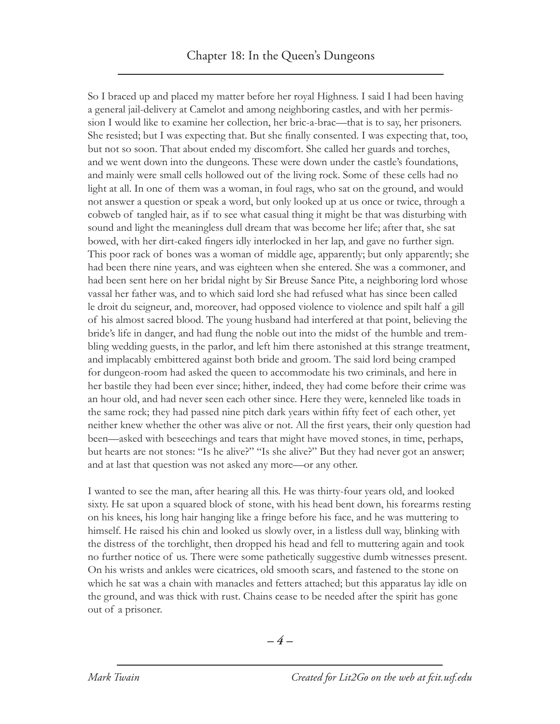So I braced up and placed my matter before her royal Highness. I said I had been having a general jail-delivery at Camelot and among neighboring castles, and with her permission I would like to examine her collection, her bric-a-brac—that is to say, her prisoners. She resisted; but I was expecting that. But she finally consented. I was expecting that, too, but not so soon. That about ended my discomfort. She called her guards and torches, and we went down into the dungeons. These were down under the castle's foundations, and mainly were small cells hollowed out of the living rock. Some of these cells had no light at all. In one of them was a woman, in foul rags, who sat on the ground, and would not answer a question or speak a word, but only looked up at us once or twice, through a cobweb of tangled hair, as if to see what casual thing it might be that was disturbing with sound and light the meaningless dull dream that was become her life; after that, she sat bowed, with her dirt-caked fingers idly interlocked in her lap, and gave no further sign. This poor rack of bones was a woman of middle age, apparently; but only apparently; she had been there nine years, and was eighteen when she entered. She was a commoner, and had been sent here on her bridal night by Sir Breuse Sance Pite, a neighboring lord whose vassal her father was, and to which said lord she had refused what has since been called le droit du seigneur, and, moreover, had opposed violence to violence and spilt half a gill of his almost sacred blood. The young husband had interfered at that point, believing the bride's life in danger, and had flung the noble out into the midst of the humble and trembling wedding guests, in the parlor, and left him there astonished at this strange treatment, and implacably embittered against both bride and groom. The said lord being cramped for dungeon-room had asked the queen to accommodate his two criminals, and here in her bastile they had been ever since; hither, indeed, they had come before their crime was an hour old, and had never seen each other since. Here they were, kenneled like toads in the same rock; they had passed nine pitch dark years within fifty feet of each other, yet neither knew whether the other was alive or not. All the first years, their only question had been—asked with beseechings and tears that might have moved stones, in time, perhaps, but hearts are not stones: "Is he alive?" "Is she alive?" But they had never got an answer; and at last that question was not asked any more—or any other.

I wanted to see the man, after hearing all this. He was thirty-four years old, and looked sixty. He sat upon a squared block of stone, with his head bent down, his forearms resting on his knees, his long hair hanging like a fringe before his face, and he was muttering to himself. He raised his chin and looked us slowly over, in a listless dull way, blinking with the distress of the torchlight, then dropped his head and fell to muttering again and took no further notice of us. There were some pathetically suggestive dumb witnesses present. On his wrists and ankles were cicatrices, old smooth scars, and fastened to the stone on which he sat was a chain with manacles and fetters attached; but this apparatus lay idle on the ground, and was thick with rust. Chains cease to be needed after the spirit has gone out of a prisoner.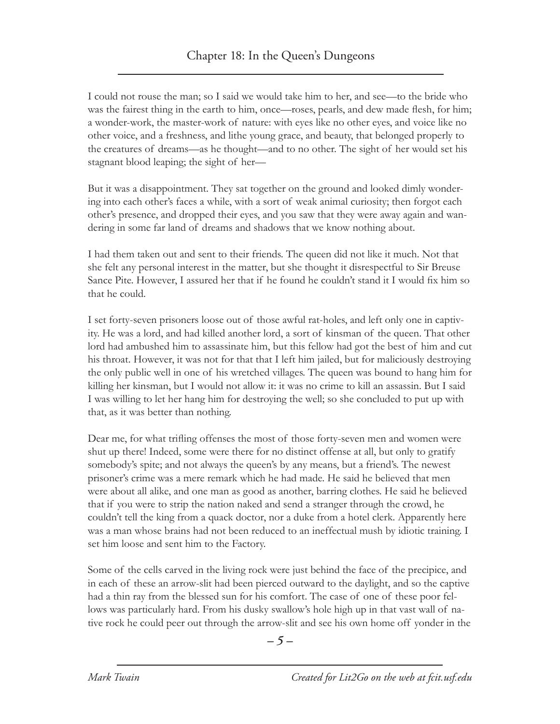I could not rouse the man; so I said we would take him to her, and see—to the bride who was the fairest thing in the earth to him, once—roses, pearls, and dew made flesh, for him; a wonder-work, the master-work of nature: with eyes like no other eyes, and voice like no other voice, and a freshness, and lithe young grace, and beauty, that belonged properly to the creatures of dreams—as he thought—and to no other. The sight of her would set his stagnant blood leaping; the sight of her—

But it was a disappointment. They sat together on the ground and looked dimly wondering into each other's faces a while, with a sort of weak animal curiosity; then forgot each other's presence, and dropped their eyes, and you saw that they were away again and wandering in some far land of dreams and shadows that we know nothing about.

I had them taken out and sent to their friends. The queen did not like it much. Not that she felt any personal interest in the matter, but she thought it disrespectful to Sir Breuse Sance Pite. However, I assured her that if he found he couldn't stand it I would fix him so that he could.

I set forty-seven prisoners loose out of those awful rat-holes, and left only one in captivity. He was a lord, and had killed another lord, a sort of kinsman of the queen. That other lord had ambushed him to assassinate him, but this fellow had got the best of him and cut his throat. However, it was not for that that I left him jailed, but for maliciously destroying the only public well in one of his wretched villages. The queen was bound to hang him for killing her kinsman, but I would not allow it: it was no crime to kill an assassin. But I said I was willing to let her hang him for destroying the well; so she concluded to put up with that, as it was better than nothing.

Dear me, for what trifling offenses the most of those forty-seven men and women were shut up there! Indeed, some were there for no distinct offense at all, but only to gratify somebody's spite; and not always the queen's by any means, but a friend's. The newest prisoner's crime was a mere remark which he had made. He said he believed that men were about all alike, and one man as good as another, barring clothes. He said he believed that if you were to strip the nation naked and send a stranger through the crowd, he couldn't tell the king from a quack doctor, nor a duke from a hotel clerk. Apparently here was a man whose brains had not been reduced to an ineffectual mush by idiotic training. I set him loose and sent him to the Factory.

Some of the cells carved in the living rock were just behind the face of the precipice, and in each of these an arrow-slit had been pierced outward to the daylight, and so the captive had a thin ray from the blessed sun for his comfort. The case of one of these poor fellows was particularly hard. From his dusky swallow's hole high up in that vast wall of native rock he could peer out through the arrow-slit and see his own home off yonder in the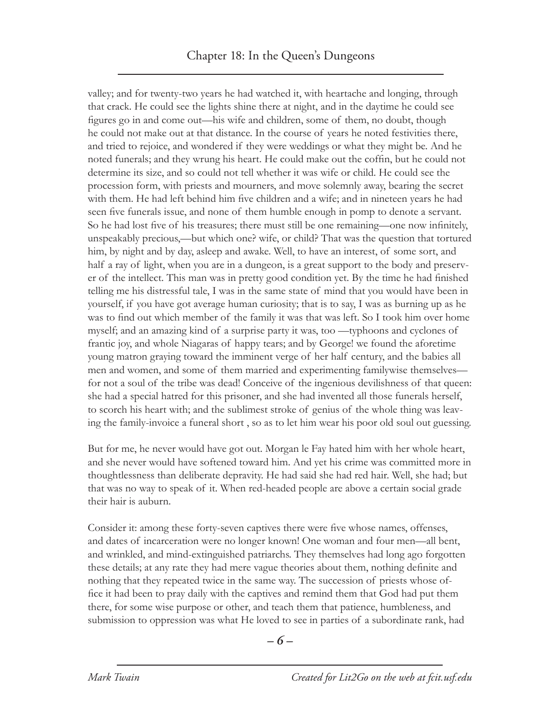valley; and for twenty-two years he had watched it, with heartache and longing, through that crack. He could see the lights shine there at night, and in the daytime he could see figures go in and come out—his wife and children, some of them, no doubt, though he could not make out at that distance. In the course of years he noted festivities there, and tried to rejoice, and wondered if they were weddings or what they might be. And he noted funerals; and they wrung his heart. He could make out the coffin, but he could not determine its size, and so could not tell whether it was wife or child. He could see the procession form, with priests and mourners, and move solemnly away, bearing the secret with them. He had left behind him five children and a wife; and in nineteen years he had seen five funerals issue, and none of them humble enough in pomp to denote a servant. So he had lost five of his treasures; there must still be one remaining—one now infinitely, unspeakably precious,—but which one? wife, or child? That was the question that tortured him, by night and by day, asleep and awake. Well, to have an interest, of some sort, and half a ray of light, when you are in a dungeon, is a great support to the body and preserver of the intellect. This man was in pretty good condition yet. By the time he had finished telling me his distressful tale, I was in the same state of mind that you would have been in yourself, if you have got average human curiosity; that is to say, I was as burning up as he was to find out which member of the family it was that was left. So I took him over home myself; and an amazing kind of a surprise party it was, too —typhoons and cyclones of frantic joy, and whole Niagaras of happy tears; and by George! we found the aforetime young matron graying toward the imminent verge of her half century, and the babies all men and women, and some of them married and experimenting familywise themselves for not a soul of the tribe was dead! Conceive of the ingenious devilishness of that queen: she had a special hatred for this prisoner, and she had invented all those funerals herself, to scorch his heart with; and the sublimest stroke of genius of the whole thing was leaving the family-invoice a funeral short , so as to let him wear his poor old soul out guessing.

But for me, he never would have got out. Morgan le Fay hated him with her whole heart, and she never would have softened toward him. And yet his crime was committed more in thoughtlessness than deliberate depravity. He had said she had red hair. Well, she had; but that was no way to speak of it. When red-headed people are above a certain social grade their hair is auburn.

Consider it: among these forty-seven captives there were five whose names, offenses, and dates of incarceration were no longer known! One woman and four men—all bent, and wrinkled, and mind-extinguished patriarchs. They themselves had long ago forgotten these details; at any rate they had mere vague theories about them, nothing definite and nothing that they repeated twice in the same way. The succession of priests whose office it had been to pray daily with the captives and remind them that God had put them there, for some wise purpose or other, and teach them that patience, humbleness, and submission to oppression was what He loved to see in parties of a subordinate rank, had